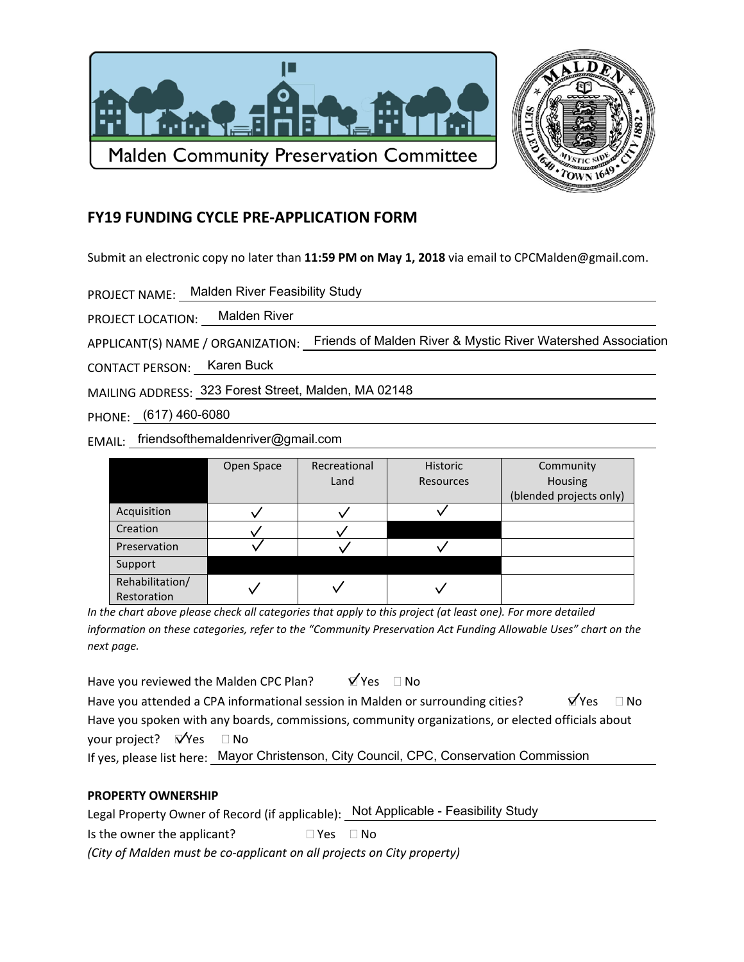



 $\Box$  No

## **FY19 FUNDING CYCLE PRE-APPLICATION FORM**

Submit an electronic copy no later than 11:59 PM on May 1, 2018 via email to CPCMalden@gmail.com.

PROJECT NAME: Malden River Feasibility Study

PROJECT LOCATION: Malden River

APPLICANT(S) NAME / ORGANIZATION: Friends of Malden River & Mystic River Watershed Association

CONTACT PERSON: Karen Buck

MAILING ADDRESS: 323 Forest Street, Malden, MA 02148

PHONE: (617) 460-6080

EMAIL: friendsofthemaldenriver@gmail.com

|                 | Open Space | Recreational | Historic  | Community               |
|-----------------|------------|--------------|-----------|-------------------------|
|                 |            | Land         | Resources | Housing                 |
|                 |            |              |           | (blended projects only) |
| Acquisition     |            |              |           |                         |
| Creation        |            |              |           |                         |
| Preservation    |            |              |           |                         |
| Support         |            |              |           |                         |
| Rehabilitation/ |            |              |           |                         |
| Restoration     |            |              |           |                         |

In the chart above please check all categories that apply to this project (at least one). For more detailed information on these categories, refer to the "Community Preservation Act Funding Allowable Uses" chart on the next page.

 $\forall$  Yes  $\Box$  No Have you reviewed the Malden CPC Plan?  $\sqrt{Y}$ es Have you attended a CPA informational session in Malden or surrounding cities? Have you spoken with any boards, commissions, community organizations, or elected officials about your project?  $\mathbf{V}'$ Yes  $\Box$  No

If yes, please list here: Mayor Christenson, City Council, CPC, Conservation Commission

## **PROPERTY OWNERSHIP**

Legal Property Owner of Record (if applicable): Not Applicable - Feasibility Study Is the owner the applicant?  $\Box$  Yes  $\Box$  No

(City of Malden must be co-applicant on all projects on City property)